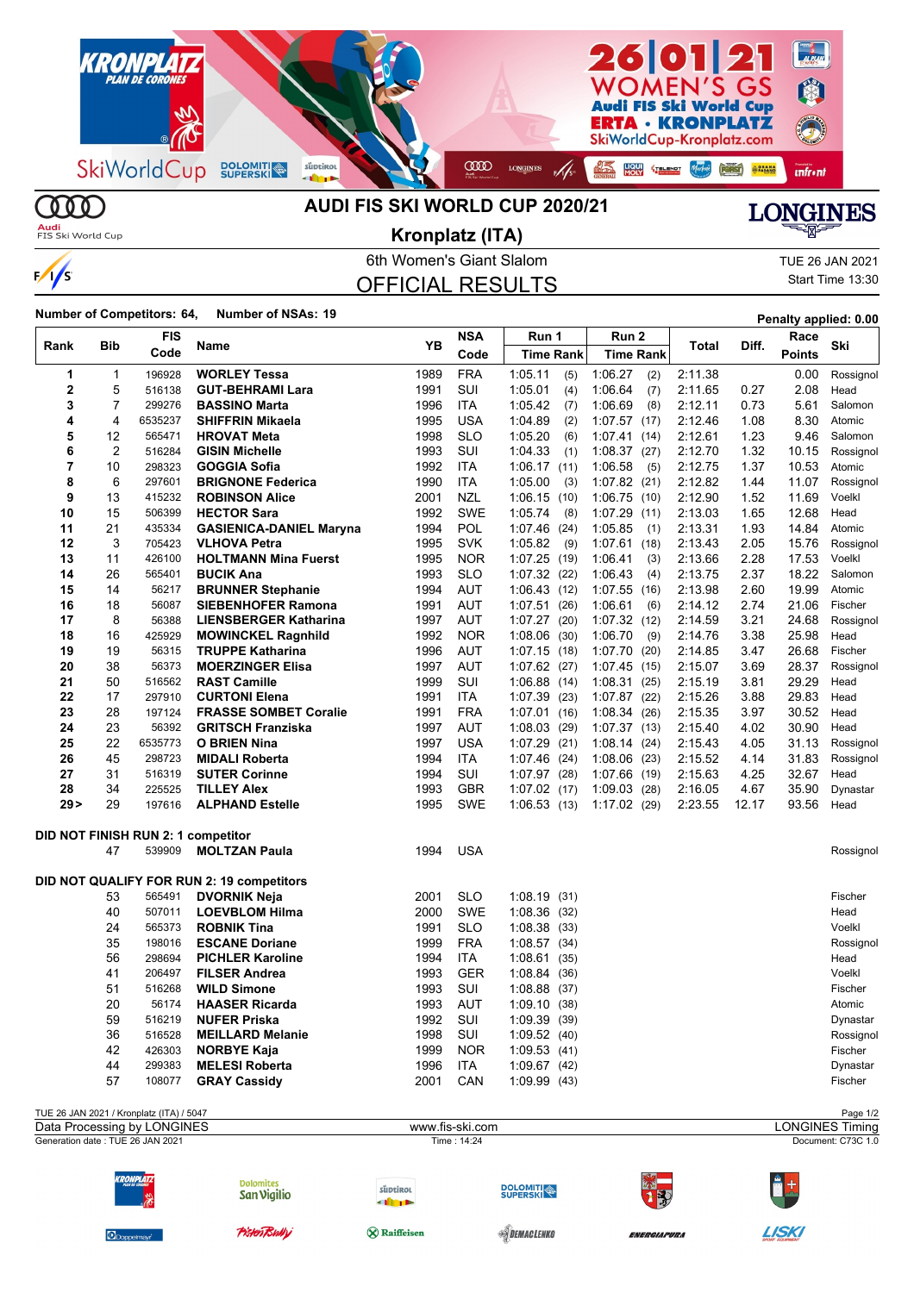

 $\circledR$ **Audi**<br>FIS Ski World Cup

 $\frac{1}{s}$ 

## **AUDI FIS SKI WORLD CUP 2020/21**

**LONGINES** 

6th Women's Giant Slalom TUE 26 JAN 2021 OFFICIAL RESULTS **Kronplatz (ITA)**

Start Time 13:30

**Number of Competitors: 64, Number of NSAs: <sup>19</sup> Penalty applied: 0.00**

| Rank           | Bib            | FIS     | Name                                      | YB   | <b>NSA</b> | Run 1            | Run 2            | Total   | Diff. | Race          | Ski       |
|----------------|----------------|---------|-------------------------------------------|------|------------|------------------|------------------|---------|-------|---------------|-----------|
|                |                | Code    |                                           |      | Code       | <b>Time Rank</b> | <b>Time Rank</b> |         |       | <b>Points</b> |           |
| 1              | 1              | 196928  | <b>WORLEY Tessa</b>                       | 1989 | <b>FRA</b> | 1:05.11<br>(5)   | 1:06.27<br>(2)   | 2:11.38 |       | 0.00          | Rossignol |
| $\overline{2}$ | 5              | 516138  | <b>GUT-BEHRAMI Lara</b>                   | 1991 | SUI        | 1:05.01<br>(4)   | 1:06.64<br>(7)   | 2:11.65 | 0.27  | 2.08          | Head      |
| 3              | 7              | 299276  | <b>BASSINO Marta</b>                      | 1996 | <b>ITA</b> | 1:05.42<br>(7)   | 1:06.69<br>(8)   | 2:12.11 | 0.73  | 5.61          | Salomon   |
| 4              | 4              | 6535237 | <b>SHIFFRIN Mikaela</b>                   | 1995 | <b>USA</b> | 1:04.89<br>(2)   | $1:07.57$ (17)   | 2:12.46 | 1.08  | 8.30          | Atomic    |
| 5              | 12             | 565471  | <b>HROVAT Meta</b>                        | 1998 | <b>SLO</b> | 1:05.20<br>(6)   | 1:07.41<br>(14)  | 2:12.61 | 1.23  | 9.46          | Salomon   |
| 6              | $\overline{2}$ | 516284  | <b>GISIN Michelle</b>                     | 1993 | SUI        | 1:04.33<br>(1)   | 1:08.37(27)      | 2:12.70 | 1.32  | 10.15         | Rossignol |
| 7              | 10             | 298323  | <b>GOGGIA Sofia</b>                       | 1992 | <b>ITA</b> | 1:06.17<br>(11)  | 1:06.58<br>(5)   | 2:12.75 | 1.37  | 10.53         | Atomic    |
| 8              | 6              | 297601  | <b>BRIGNONE Federica</b>                  | 1990 | <b>ITA</b> | 1:05.00<br>(3)   | $1:07.82$ (21)   | 2:12.82 | 1.44  | 11.07         | Rossignol |
| 9              | 13             | 415232  | <b>ROBINSON Alice</b>                     | 2001 | <b>NZL</b> | 1:06.15<br>(10)  | 1:06.75<br>(10)  | 2:12.90 | 1.52  | 11.69         | Voelkl    |
| 10             | 15             | 506399  | <b>HECTOR Sara</b>                        | 1992 | <b>SWE</b> | 1:05.74<br>(8)   | 1:07.29<br>(11)  | 2:13.03 | 1.65  | 12.68         | Head      |
| 11             | 21             | 435334  | <b>GASIENICA-DANIEL Maryna</b>            | 1994 | <b>POL</b> | 1:07.46<br>(24)  | 1:05.85<br>(1)   | 2:13.31 | 1.93  | 14.84         | Atomic    |
| 12             | 3              | 705423  | <b>VLHOVA Petra</b>                       | 1995 | <b>SVK</b> | 1:05.82<br>(9)   | 1:07.61<br>(18)  | 2:13.43 | 2.05  | 15.76         | Rossignol |
| 13             | 11             | 426100  | <b>HOLTMANN Mina Fuerst</b>               | 1995 | <b>NOR</b> | 1:07.25<br>(19)  | 1:06.41<br>(3)   | 2:13.66 | 2.28  | 17.53         | Voelkl    |
| 14             | 26             | 565401  | <b>BUCIK Ana</b>                          | 1993 | <b>SLO</b> | $1:07.32$ (22)   | 1:06.43<br>(4)   | 2:13.75 | 2.37  | 18.22         | Salomon   |
| 15             | 14             | 56217   | <b>BRUNNER Stephanie</b>                  | 1994 | <b>AUT</b> | 1:06.43<br>(12)  | 1:07.55<br>(16)  | 2:13.98 | 2.60  | 19.99         | Atomic    |
| 16             | 18             | 56087   | <b>SIEBENHOFER Ramona</b>                 | 1991 | <b>AUT</b> | 1:07.51<br>(26)  | 1:06.61<br>(6)   | 2:14.12 | 2.74  | 21.06         | Fischer   |
| 17             | 8              | 56388   | <b>LIENSBERGER Katharina</b>              | 1997 | <b>AUT</b> | 1:07.27<br>(20)  | 1:07.32(12)      | 2:14.59 | 3.21  | 24.68         | Rossignol |
| 18             | 16             | 425929  | <b>MOWINCKEL Ragnhild</b>                 | 1992 | <b>NOR</b> | 1:08.06<br>(30)  | 1:06.70<br>(9)   | 2:14.76 | 3.38  | 25.98         | Head      |
| 19             | 19             | 56315   | <b>TRUPPE Katharina</b>                   | 1996 | <b>AUT</b> | 1:07.15(18)      | 1:07.70<br>(20)  | 2:14.85 | 3.47  | 26.68         | Fischer   |
| 20             | 38             | 56373   | <b>MOERZINGER Elisa</b>                   | 1997 | <b>AUT</b> | 1.07.62(27)      | 1:07.45(15)      | 2:15.07 | 3.69  | 28.37         | Rossignol |
| 21             | 50             | 516562  | <b>RAST Camille</b>                       | 1999 | SUI        | 1.06.88(14)      | 1:08.31(25)      | 2:15.19 | 3.81  | 29.29         | Head      |
| 22             | 17             | 297910  | <b>CURTONI Elena</b>                      | 1991 | <b>ITA</b> | 1:07.39<br>(23)  | 1:07.87(22)      | 2:15.26 | 3.88  | 29.83         | Head      |
| 23             | 28             | 197124  | <b>FRASSE SOMBET Coralie</b>              | 1991 | <b>FRA</b> | 1.07.01(16)      | 1:08.34(26)      | 2:15.35 | 3.97  | 30.52         | Head      |
| 24             | 23             | 56392   | <b>GRITSCH Franziska</b>                  | 1997 | <b>AUT</b> | 1:08.03(29)      | 1:07.37(13)      | 2:15.40 | 4.02  | 30.90         | Head      |
| 25             | 22             | 6535773 | <b>O BRIEN Nina</b>                       | 1997 | USA        | 1:07.29<br>(21)  | 1:08.14<br>(24)  | 2:15.43 | 4.05  | 31.13         | Rossignol |
| 26             | 45             | 298723  | <b>MIDALI Roberta</b>                     | 1994 | <b>ITA</b> | 1:07.46<br>(24)  | 1:08.06<br>(23)  | 2:15.52 | 4.14  | 31.83         | Rossignol |
| 27             | 31             | 516319  | <b>SUTER Corinne</b>                      | 1994 | SUI        | 1:07.97<br>(28)  | 1:07.66<br>(19)  | 2:15.63 | 4.25  | 32.67         | Head      |
| 28             | 34             | 225525  | <b>TILLEY Alex</b>                        | 1993 | <b>GBR</b> | $1:07.02$ (17)   | 1:09.03<br>(28)  | 2:16.05 | 4.67  | 35.90         | Dynastar  |
| 29 >           | 29             | 197616  | <b>ALPHAND Estelle</b>                    | 1995 | <b>SWE</b> | 1:06.53(13)      | 1:17.02(29)      | 2:23.55 | 12.17 | 93.56         | Head      |
|                |                |         | DID NOT FINISH RUN 2: 1 competitor        |      |            |                  |                  |         |       |               |           |
|                | 47             | 539909  | <b>MOLTZAN Paula</b>                      | 1994 | <b>USA</b> |                  |                  |         |       |               | Rossignol |
|                |                |         |                                           |      |            |                  |                  |         |       |               |           |
|                |                |         | DID NOT QUALIFY FOR RUN 2: 19 competitors |      |            |                  |                  |         |       |               |           |
|                | 53             | 565491  | <b>DVORNIK Neja</b>                       | 2001 | <b>SLO</b> | 1:08.19(31)      |                  |         |       |               | Fischer   |
|                | 40             | 507011  | <b>LOEVBLOM Hilma</b>                     | 2000 | <b>SWE</b> | 1:08.36<br>(32)  |                  |         |       |               | Head      |
|                | 24             | 565373  | <b>ROBNIK Tina</b>                        | 1991 | <b>SLO</b> | 1:08.38(33)      |                  |         |       |               | Voelkl    |
|                | 35             | 198016  | <b>ESCANE Doriane</b>                     | 1999 | <b>FRA</b> | 1:08.57<br>(34)  |                  |         |       |               | Rossignol |
|                | 56             | 298694  | <b>PICHLER Karoline</b>                   | 1994 | ITA        | 1:08.61(35)      |                  |         |       |               | Head      |
|                | 41             | 206497  | <b>FILSER Andrea</b>                      | 1993 | GER        | 1:08.84<br>(36)  |                  |         |       |               | Voelkl    |
|                | 51             | 516268  | <b>WILD Simone</b>                        | 1993 | SUI        | 1:08.88<br>(37)  |                  |         |       |               | Fischer   |
|                | 20             | 56174   | <b>HAASER Ricarda</b>                     | 1993 | AUT        | 1:09.10<br>(38)  |                  |         |       |               | Atomic    |
|                | 59             | 516219  | <b>NUFER Priska</b>                       | 1992 | SUI        | 1:09.39<br>(39)  |                  |         |       |               | Dynastar  |
|                | 36             | 516528  | <b>MEILLARD Melanie</b>                   | 1998 | SUI        | 1:09.52(40)      |                  |         |       |               | Rossignol |
|                | 42             | 426303  | <b>NORBYE Kaja</b>                        | 1999 | <b>NOR</b> | 1:09.53(41)      |                  |         |       |               | Fischer   |
|                | 44             | 299383  | <b>MELESI Roberta</b>                     | 1996 | <b>ITA</b> | 1:09.67<br>(42)  |                  |         |       |               | Dynastar  |
|                | 57             | 108077  | <b>GRAY Cassidy</b>                       | 2001 | CAN        | 1:09.99(43)      |                  |         |       |               | Fischer   |
|                |                |         |                                           |      |            |                  |                  |         |       |               |           |

TUE 26 JAN 2021 / Kronplatz (ITA) / 5047 Page 1/2<br>
Data Processing by LONGINES **And Accessing by LONGINES** Timing Generation date : TUE 26 JAN 2021 Time : 14:24 Document: C73C 1.0 Data Processing by LONGINES www.fis-ski.com



Dolon San Vigilio

**Pister Bully** 

süptirol dine

**&** Raiffeisen







SDEMACLENKO

ENERGIAPURA